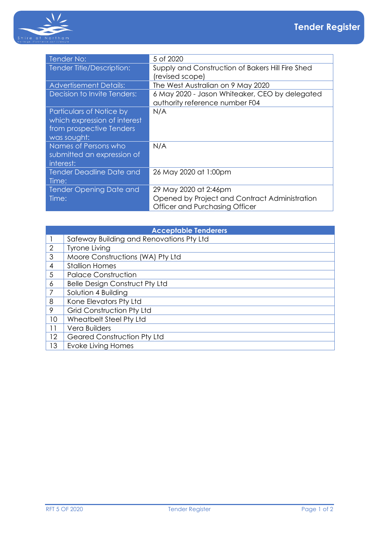

| Tender No:                      | 5 of 2020                                        |
|---------------------------------|--------------------------------------------------|
| Tender Title/Description:       | Supply and Construction of Bakers Hill Fire Shed |
|                                 | (revised scope)                                  |
| <b>Advertisement Details:</b>   | The West Australian on 9 May 2020                |
| Decision to Invite Tenders:     | 6 May 2020 - Jason Whiteaker, CEO by delegated   |
|                                 | authority reference number F04                   |
| Particulars of Notice by        | N/A                                              |
| which expression of interest    |                                                  |
| from prospective Tenders        |                                                  |
| was sought:                     |                                                  |
| Names of Persons who            | N/A                                              |
| submitted an expression of      |                                                  |
| interest:                       |                                                  |
| <b>Tender Deadline Date and</b> | 26 May 2020 at 1:00pm                            |
| Time:                           |                                                  |
| <b>Tender Opening Date and</b>  | 29 May 2020 at 2:46pm                            |
| Time:                           | Opened by Project and Contract Administration    |
|                                 | Officer and Purchasing Officer                   |

| <b>Acceptable Tenderers</b> |                                          |  |
|-----------------------------|------------------------------------------|--|
|                             | Safeway Building and Renovations Pty Ltd |  |
| $\overline{2}$              | <b>Tyrone Living</b>                     |  |
| 3                           | Moore Constructions (WA) Pty Ltd         |  |
| 4                           | <b>Stallion Homes</b>                    |  |
| 5                           | <b>Palace Construction</b>               |  |
| 6                           | <b>Belle Design Construct Pty Ltd</b>    |  |
|                             | Solution 4 Building                      |  |
| 8                           | Kone Elevators Pty Ltd                   |  |
| 9                           | <b>Grid Construction Pty Ltd</b>         |  |
| 10                          | Wheatbelt Steel Pty Ltd                  |  |
| 11                          | Vera Builders                            |  |
| 12                          | <b>Geared Construction Pty Ltd</b>       |  |
| 13                          | Evoke Living Homes                       |  |